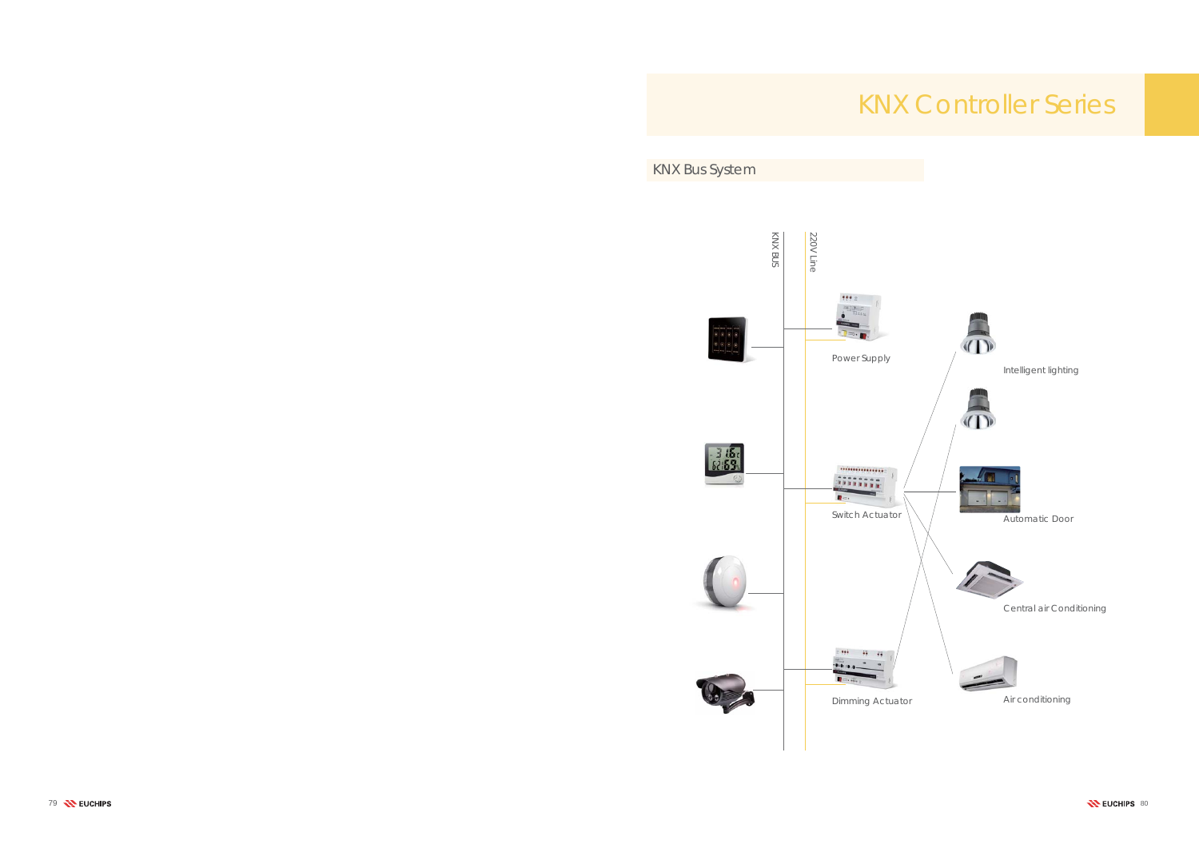

# KNX Controller Series

9 SEUCHIPS 80 SEUCHIPS 80

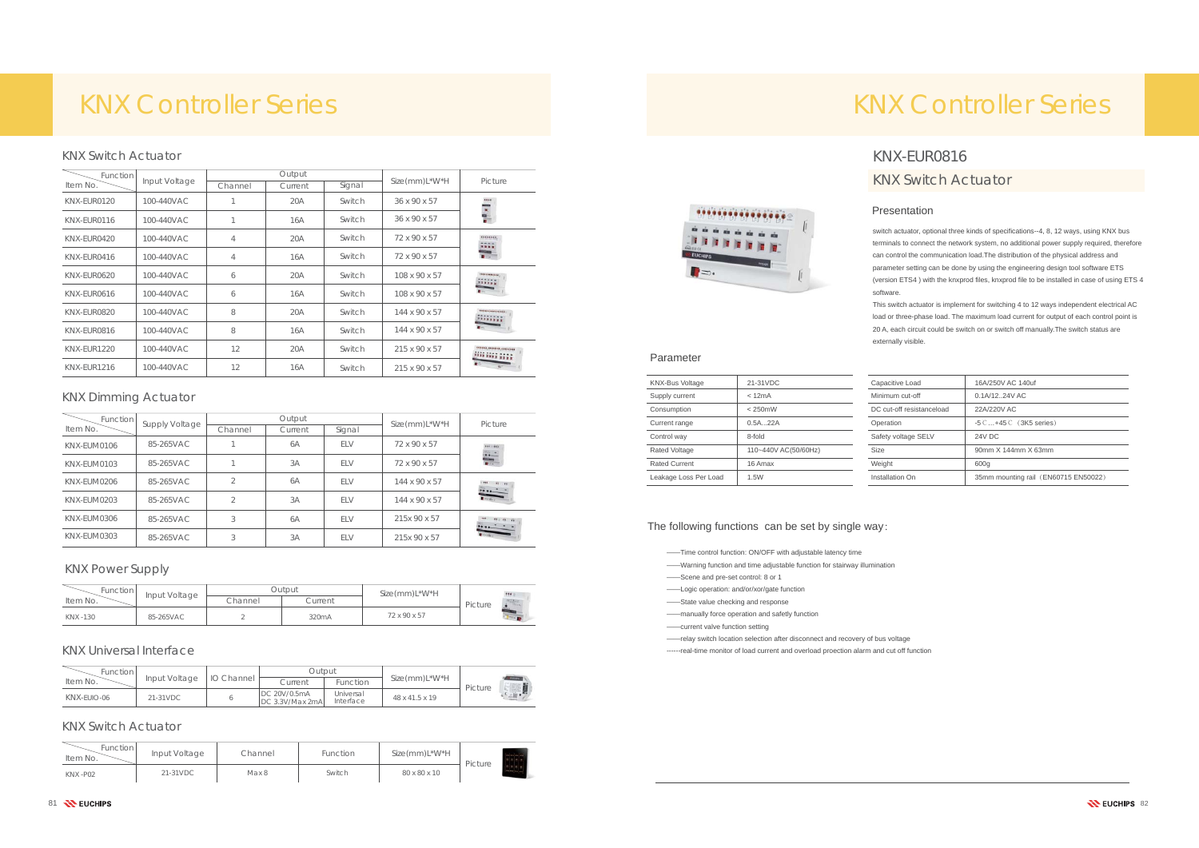### Presentation

# KNX Switch Actuator r and the second state of the second state of the second state  $\verb|KNX-EURO816|$

# KNX Switch Actuator

## Parameter

# KNX Controller Series

# KNX Controller Series

# KNX Power Supply

# KNX Dimming Actuator

# KNX Universal Interface

# KNX Switch Actuator

| <b>KNX-Bus Voltage</b> | 21-31VDC             | Capacitive Load           | 16A/250V AC 140uf                    |
|------------------------|----------------------|---------------------------|--------------------------------------|
| Supply current         | < 12mA               | Minimum cut-off           | $0.1A/12.24V$ AC                     |
| Consumption            | $< 250$ mW           | DC cut-off resistanceload | 22A/220V AC                          |
| Current range          | 0.5A22A              | Operation                 | $-5$ C $+45$ C $(3K5$ series)        |
| Control way            | 8-fold               | Safety voltage SELV       | <b>24V DC</b>                        |
| <b>Rated Voltage</b>   | 110~440V AC(50/60Hz) | <b>Size</b>               | 90mm X 144mm X 63mm                  |
| <b>Rated Current</b>   | 16 Amax              | Weight                    | 600g                                 |
| Leakage Loss Per Load  | 1.5W                 | Installation On           | 35mm mounting rail (EN60715 EN50022) |

——Time control function: ON/OFF with adjustable latency time

- ——Warning function and time adjustable function for stairway illumination ——Scene and pre-set control: 8 or 1
- ——Logic operation: and/or/xor/gate function

................

 $\exists$ 

- ——State value checking and response
- ——manually force operation and safetly function
- ——current valve function setting
- ——relay switch location selection after disconnect and recovery of bus voltage
- ------real-time monitor of load current and overload proection alarm and cut off function

## The following functions can be set by single way:

switch actuator, optional three kinds of specifications--4, 8, 12 ways, using KNX bus terminals to connect the network system, no additional power supply required, therefore can control the communication load.The distribution of the physical address and parameter setting can be done by using the engineering design tool software ETS (version ETS4 ) with the knxprod files, knxprod file to be installed in case of using ETS 4

| Functionl   |               |            | Dutput                           |                        |                   |                         |
|-------------|---------------|------------|----------------------------------|------------------------|-------------------|-------------------------|
| Item No.    | Input Voltage | IO Channel | Current                          | <b>Function</b>        | $Size(mm)L^*W^*H$ | <b>LIGHT</b><br>Picture |
| KNX-EUIO-06 | 21-31VDC      |            | IDC 20V/0.5mA<br>DC 3.3V/Max 2mA | Universal<br>Interface | 48 x 41.5 x 19    |                         |

| Function<br>Input Voltage |           |         | Output             | $Size(mm)L^*W^*H$ | 111.2.  |
|---------------------------|-----------|---------|--------------------|-------------------|---------|
| Item No.                  |           | Channel | Current            |                   | Picture |
| KNX -130                  | 85-265VAC |         | 320 <sub>m</sub> A | 72 x 90 x 57      |         |

This switch actuator is implement for switching 4 to 12 ways independent electrical AC load or three-phase load. The maximum load current for output of each control point is 20 A, each circuit could be switch on or switch off manually.The switch status are

software. externally visible.

| <b>Function</b><br>Item No. | Input Voltage | Channel | Function | Size(mm)L*W*H | or and lane lane<br>Picture |  |
|-----------------------------|---------------|---------|----------|---------------|-----------------------------|--|
| KNX-P02                     | 21-31VDC      | Max 8   | Switch   | 80 x 80 x 10  |                             |  |



| <b>Function</b> |               |         | Output  |        | Size(mm)L*W*H            | Picture                          |
|-----------------|---------------|---------|---------|--------|--------------------------|----------------------------------|
| Item No.        | Input Voltage | Channel | Current | Signal |                          |                                  |
| KNX-EUR0120     | 100-440VAC    |         | 20A     | Switch | $36 \times 90 \times 57$ | <br><b>The Second</b>            |
| KNX-EUR0116     | 100-440VAC    |         | 16A     | Switch | $36 \times 90 \times 57$ | ÷                                |
| KNX-FUR0420     | 100-440VAC    | 4       | 20A     | Switch | 72 x 90 x 57             | <br>3333                         |
| KNX-FUR0416     | 100-440VAC    | 4       | 16A     | Switch | 72 x 90 x 57             | $\mathbf{p}$                     |
| KNX-FUR0620     | 100-440VAC    | 6       | 20A     | Switch | 108 x 90 x 57            | *************                    |
| KNX-EUR0616     | 100-440VAC    | 6       | 16A     | Switch | 108 x 90 x 57            |                                  |
| KNX-EUR0820     | 100-440VAC    | 8       | 20A     | Switch | 144 x 90 x 57            | *****************                |
| KNX-FUR0816     | 100-440VAC    | 8       | 16A     | Switch | 144 x 90 x 57            |                                  |
| KNX-FUR1220     | 100-440VAC    | 12      | 20A     | Switch | 215 x 90 x 57            | <b>NESERC. ESERGERA, ANGEREE</b> |
| KNX-EUR1216     | 100-440VAC    | 12      | 16A     | Switch | 215 x 90 x 57            |                                  |

| Function    | Supply Voltage |                | Output  |            | Size(mm)L*W*H | Picture              |  |
|-------------|----------------|----------------|---------|------------|---------------|----------------------|--|
| Item No.    |                | Channel        | Current | Signal     |               |                      |  |
| KNX-FUM0106 | 85-265VAC      |                | 6A      | <b>FLV</b> | 72 x 90 x 57  | $114 - 164$          |  |
| KNX-FUM0103 | 85-265VAC      |                | 3A      | <b>FLV</b> | 72 x 90 x 57  | $\frac{1}{\sqrt{2}}$ |  |
| KNX-FUM0206 | 85-265VAC      | $\overline{2}$ | 6A      | <b>FLV</b> | 144 x 90 x 57 | $\cdots$             |  |
| KNX-FUM0203 | 85-265VAC      | $\mathcal{P}$  | 3A      | <b>FLV</b> | 144 x 90 x 57 |                      |  |
| KNX-FUM0306 | 85-265VAC      | 3              | 6A      | <b>FLV</b> | 215x 90 x 57  |                      |  |
| KNX-FUM0303 | 85-265VAC      | 3              | 3A      | <b>FLV</b> | 215x 90 x 57  |                      |  |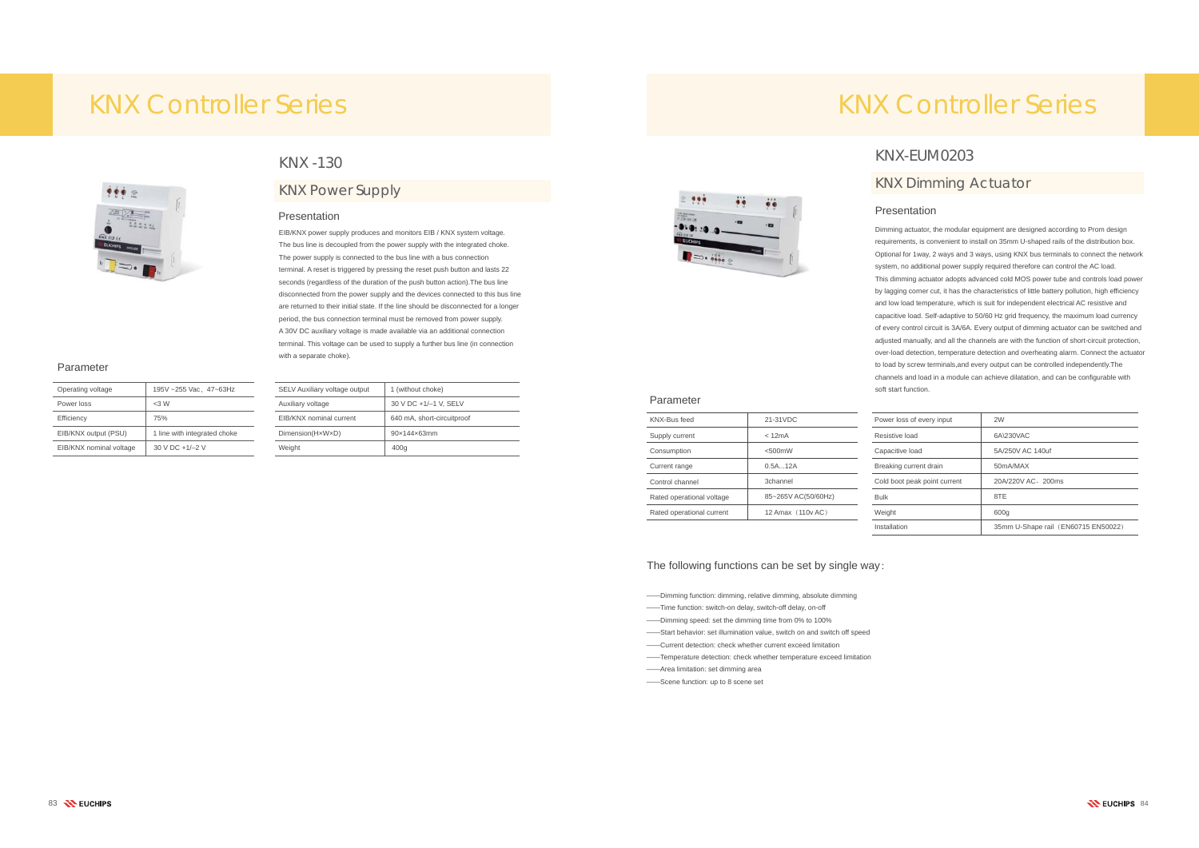## Presentation

# KNX-EUM0203

### Parameter

Parameter

 $\Rightarrow$ .

KNX-Bus feed

# KNX Power Supply

### Presentation **Presentation** Presentation

# KNX Controller Series KNX Controller Series KNX Controller Series



# KNX -130

EIB/KNX power supply produces and monitors EIB / KNX system voltage. The bus line is decoupled from the power supply with the integrated choke. The power supply is connected to the bus line with a bus connection terminal. A reset is triggered by pressing the reset push button and lasts 22 seconds (regardless of the duration of the push button action).The bus line disconnected from the power supply and the devices connected to this bus line are returned to their initial state. If the line should be disconnected for a longer period, the bus connection terminal must be removed from power supply. A 30V DC auxiliary voltage is made available via an additional connection terminal. This voltage can be used to supply a further bus line (in connection with a separate choke).

> Current range Control channel Rated operational voltage Rated operational current

| Operating voltage       | 195V ~255 Vac, 47~63Hz       | SELV Auxiliary voltage output | 1 (wit           |
|-------------------------|------------------------------|-------------------------------|------------------|
| Power loss              | $<3$ W                       | Auxiliary voltage             | 30V              |
| Efficiency              | 75%                          | EIB/KNX nominal current       | 640 r            |
| EIB/KNX output (PSU)    | 1 line with integrated choke | Dimension(HxWxD)              | $90\times1$      |
| EIB/KNX nominal voltage | 30 V DC +1/-2 V              | Weight                        | 400 <sub>g</sub> |
|                         |                              |                               |                  |

| V ~255 Vac,47~63Hz       | SELV Auxiliary voltage output | 1 (without choke)          |  |
|--------------------------|-------------------------------|----------------------------|--|
| W                        | Auxiliary voltage             | 30 V DC +1/-1 V, SELV      |  |
| ℅                        | EIB/KNX nominal current       | 640 mA, short-circuitproof |  |
| ne with integrated choke | Dimension(HxWxD)              | 90×144×63mm                |  |
| V DC +1/-2 V             | Weight                        | 400 <sub>g</sub>           |  |
|                          |                               |                            |  |

# KNX Dimming Actuator

Consumption Supply current

| 21-31 VDC                                | Power loss of every input | 2W                                  |  |
|------------------------------------------|---------------------------|-------------------------------------|--|
| < 12mA                                   | Resistive load            | 6A\230VAC                           |  |
| $< 500$ mW                               | Capacitive load           | 5A/250V AC 140uf                    |  |
| 0.5A12A                                  | Breaking current drain    | 50mA/MAX                            |  |
| 3channel<br>Cold boot peak point current |                           | 20A/220V AC \ 200ms                 |  |
| 85~265V AC(50/60Hz)                      | <b>Bulk</b>               | 8TE                                 |  |
| 12 Amax (110 vAC)                        | Weight                    | 600g                                |  |
|                                          | Installation              | 35mm U-Shape rail (EN60715 EN50022) |  |
|                                          |                           |                                     |  |

Dimming actuator, the modular equipment are designed according to Prom design requirements, is convenient to install on 35mm U-shaped rails of the distribution box. Optional for 1way, 2 ways and 3 ways, using KNX bus terminals to connect the network system, no additional power supply required therefore can control the AC load. This dimming actuator adopts advanced cold MOS power tube and controls load power by lagging corner cut, it has the characteristics of little battery pollution, high efficiency and low load temperature, which is suit for independent electrical AC resistive and capacitive load. Self-adaptive to 50/60 Hz grid frequency, the maximum load currency of every control circuit is 3A/6A. Every output of dimming actuator can be switched and adjusted manually, and all the channels are with the function of short-circuit protection, over-load detection, temperature detection and overheating alarm. Connect the actuator to load by screw terminals,and every output can be controlled independently.The channels and load in a module can achieve dilatation, and can be configurable with soft start function.

——Dimming function: dimming, relative dimming, absolute dimming

——Time function: switch-on delay, switch-off delay, on-off

——Dimming speed: set the dimming time from 0% to 100%

- ——Start behavior: set illumination value, switch on and switch off speed
- ——Current detection: check whether current exceed limitation
- ——Temperature detection: check whether temperature exceed limitation
- ——Area limitation: set dimming area

——Scene function: up to 8 scene set

## The following functions can be set by single way: